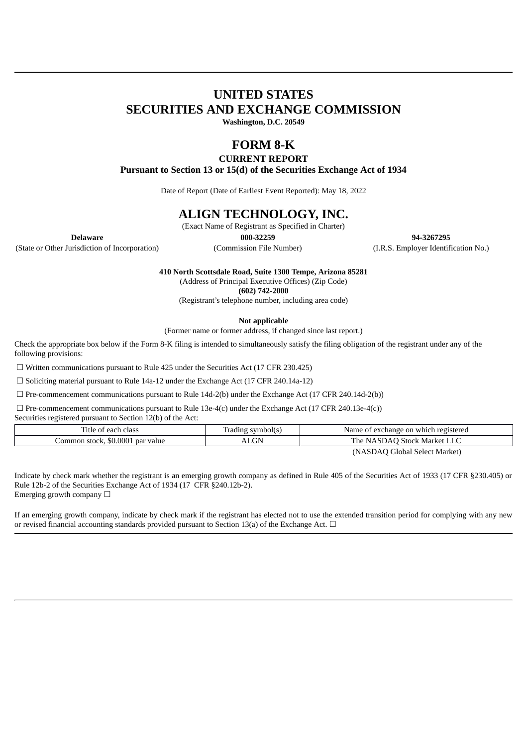# **UNITED STATES SECURITIES AND EXCHANGE COMMISSION**

**Washington, D.C. 20549**

# **FORM 8-K**

**CURRENT REPORT**

**Pursuant to Section 13 or 15(d) of the Securities Exchange Act of 1934**

Date of Report (Date of Earliest Event Reported): May 18, 2022

## **ALIGN TECHNOLOGY, INC.**

(Exact Name of Registrant as Specified in Charter)

(State or Other Jurisdiction of Incorporation) (Commission File Number) (I.R.S. Employer Identification No.)

**Delaware 000-32259 94-3267295**

**410 North Scottsdale Road, Suite 1300 Tempe, Arizona 85281**

(Address of Principal Executive Offices) (Zip Code)

**(602) 742-2000**

(Registrant's telephone number, including area code)

**Not applicable**

(Former name or former address, if changed since last report.)

Check the appropriate box below if the Form 8-K filing is intended to simultaneously satisfy the filing obligation of the registrant under any of the following provisions:

☐ Written communications pursuant to Rule 425 under the Securities Act (17 CFR 230.425)

☐ Soliciting material pursuant to Rule 14a-12 under the Exchange Act (17 CFR 240.14a-12)

 $\Box$  Pre-commencement communications pursuant to Rule 14d-2(b) under the Exchange Act (17 CFR 240.14d-2(b))

 $\Box$  Pre-commencement communications pursuant to Rule 13e-4(c) under the Exchange Act (17 CFR 240.13e-4(c))

Securities registered pursuant to Section 12(b) of the Act:

| Title of each class              | Trading symbol(s) | Name of exchange on which registered |
|----------------------------------|-------------------|--------------------------------------|
| Common stock, \$0.0001 par value | <b>ALGN</b>       | The NASDAQ Stock Market LLC          |
|                                  |                   | (NASDAO Global Select Market)        |

(NASDAQ Global Select Market)

Indicate by check mark whether the registrant is an emerging growth company as defined in Rule 405 of the Securities Act of 1933 (17 CFR §230.405) or Rule 12b-2 of the Securities Exchange Act of 1934 (17 CFR §240.12b-2). Emerging growth company  $\Box$ 

If an emerging growth company, indicate by check mark if the registrant has elected not to use the extended transition period for complying with any new or revised financial accounting standards provided pursuant to Section 13(a) of the Exchange Act.  $\Box$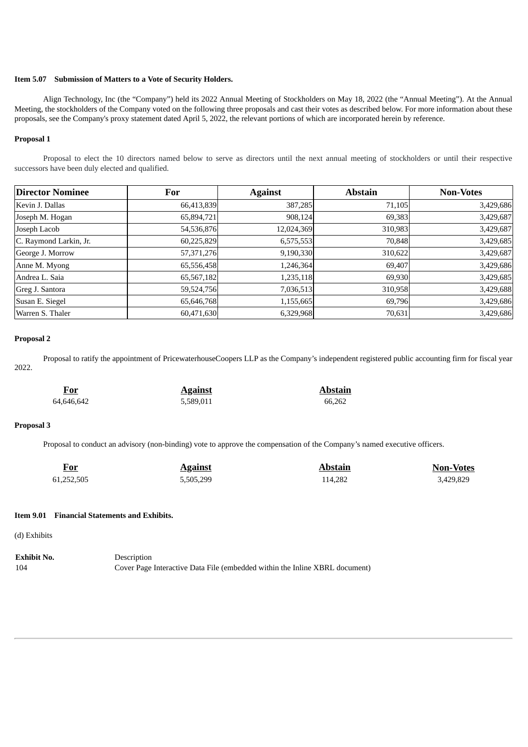### **Item 5.07 Submission of Matters to a Vote of Security Holders.**

Align Technology, Inc (the "Company") held its 2022 Annual Meeting of Stockholders on May 18, 2022 (the "Annual Meeting"). At the Annual Meeting, the stockholders of the Company voted on the following three proposals and cast their votes as described below. For more information about these proposals, see the Company's proxy statement dated April 5, 2022, the relevant portions of which are incorporated herein by reference.

#### **Proposal 1**

Proposal to elect the 10 directors named below to serve as directors until the next annual meeting of stockholders or until their respective successors have been duly elected and qualified.

| <b>Director Nominee</b> | For        | <b>Against</b> | <b>Abstain</b> | <b>Non-Votes</b> |
|-------------------------|------------|----------------|----------------|------------------|
| Kevin J. Dallas         | 66,413,839 | 387,285        | 71,105         | 3,429,686        |
| Joseph M. Hogan         | 65,894,721 | 908,124        | 69,383         | 3,429,687        |
| Joseph Lacob            | 54,536,876 | 12,024,369     | 310,983        | 3,429,687        |
| C. Raymond Larkin, Jr.  | 60,225,829 | 6,575,553      | 70,848         | 3,429,685        |
| George J. Morrow        | 57,371,276 | 9,190,330      | 310,622        | 3,429,687        |
| Anne M. Myong           | 65,556,458 | 1,246,364      | 69,407         | 3,429,686        |
| Andrea L. Saia          | 65,567,182 | 1,235,118      | 69,930         | 3,429,685        |
| Greg J. Santora         | 59,524,756 | 7,036,513      | 310,958        | 3,429,688        |
| Susan E. Siegel         | 65,646,768 | 1,155,665      | 69,796         | 3,429,686        |
| Warren S. Thaler        | 60,471,630 | 6,329,968      | 70,631         | 3,429,686        |

## **Proposal 2**

Proposal to ratify the appointment of PricewaterhouseCoopers LLP as the Company's independent registered public accounting firm for fiscal year 2022.

**For Against Abstain** 64,646,642 5,589,011 66,262

### **Proposal 3**

Proposal to conduct an advisory (non-binding) vote to approve the compensation of the Company's named executive officers.

| <u>For</u> | <b>Against</b> | Abstain | <b>Non-Votes</b> |
|------------|----------------|---------|------------------|
| 61,252,505 | 5,505,299      | 114,282 | 3.429.829        |

#### **Item 9.01 Financial Statements and Exhibits.**

(d) Exhibits

**Exhibit No.** Description 104 Cover Page Interactive Data File (embedded within the Inline XBRL document)